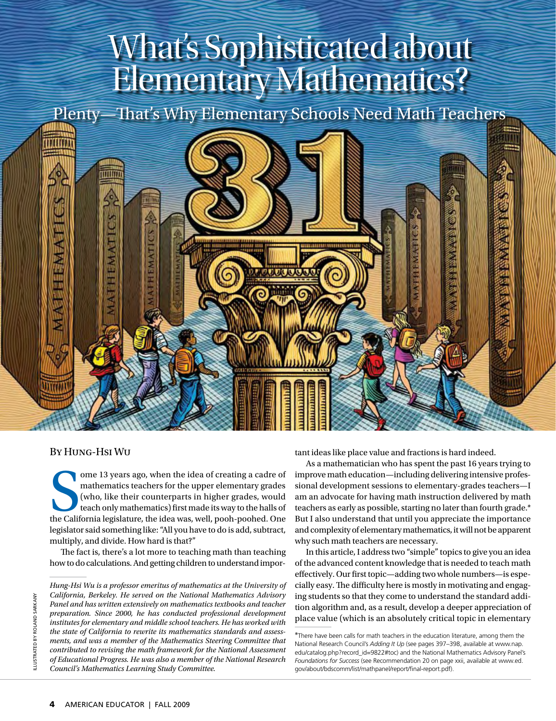# What's Sophisticated about Elementary Mathematics?

Plenty—That's Why Elementary Schools Need Math Teachers



### By Hung-Hsi Wu

ome 13 years ago, when the idea of creating a cadre of mathematics teachers for the upper elementary grades (who, like their counterparts in higher grades, would teach only mathematics) first made its way to the halls of t ome 13 years ago, when the idea of creating a cadre of mathematics teachers for the upper elementary grades (who, like their counterparts in higher grades, would teach only mathematics) first made its way to the halls of legislator said something like: "All you have to do is add, subtract, multiply, and divide. How hard is that?"

The fact is, there's a lot more to teaching math than teaching how to do calculations. And getting children to understand important ideas like place value and fractions is hard indeed.

As a mathematician who has spent the past 16 years trying to improve math education—including delivering intensive professional development sessions to elementary-grades teachers—I am an advocate for having math instruction delivered by math teachers as early as possible, starting no later than fourth grade.\* But I also understand that until you appreciate the importance and complexity of elementary mathematics, it will not be apparent why such math teachers are necessary.

In this article, I address two "simple" topics to give you an idea of the advanced content knowledge that is needed to teach math effectively. Our first topic—adding two whole numbers—is especially easy. The difficulty here is mostly in motivating and engaging students so that they come to understand the standard addition algorithm and, as a result, develop a deeper appreciation of place value (which is an absolutely critical topic in elementary

*Hung-Hsi Wu is a professor emeritus of mathematics at the University of California, Berkeley. He served on the National Mathematics Advisory Panel and has written extensively on mathematics textbooks and teacher preparation. Since 2000, he has conducted professional development institutes for elementary and middle school teachers. He has worked with the state of California to rewrite its mathematics standards and assessments, and was a member of the Mathematics Steering Committee that contributed to revising the math framework for the National Assessment of Educational Progress. He was also a member of the National Research Council's Mathematics Learning Study Committee.*

<sup>\*</sup>There have been calls for math teachers in the education literature, among them the National Research Council's *Adding It Up* (see pages 397–398, available at www.nap. edu/catalog.php?record\_id=9822#toc) and the National Mathematics Advisory Panel's *Foundations for Success* (see Recommendation 20 on page xxii, available at www.ed. gov/about/bdscomm/list/mathpanel/report/final-report.pdf).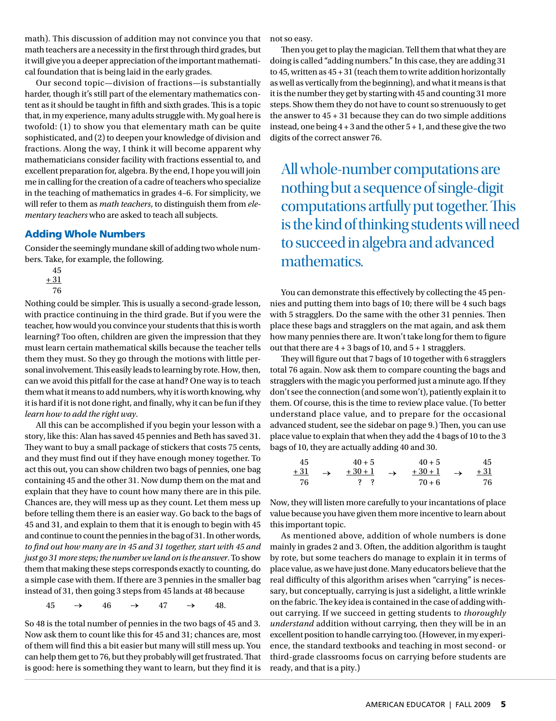math). This discussion of addition may not convince you that math teachers are a necessity in the first through third grades, but it will give you a deeper appreciation of the important mathematical foundation that is being laid in the early grades.

Our second topic—division of fractions—is substantially harder, though it's still part of the elementary mathematics content as it should be taught in fifth and sixth grades. This is a topic that, in my experience, many adults struggle with. My goal here is twofold: (1) to show you that elementary math can be quite sophisticated, and (2) to deepen your knowledge of division and fractions. Along the way, I think it will become apparent why mathematicians consider facility with fractions essential to, and excellent preparation for, algebra. By the end, I hope you will join me in calling for the creation of a cadre of teachers who specialize in the teaching of mathematics in grades 4–6. For simplicity, we will refer to them as *math teachers*, to distinguish them from *elementary teachers* who are asked to teach all subjects.

#### Adding Whole Numbers

Consider the seemingly mundane skill of adding two whole numbers. Take, for example, the following.

45  $+31$ 76

Nothing could be simpler. This is usually a second-grade lesson, with practice continuing in the third grade. But if you were the teacher, how would you convince your students that this is worth learning? Too often, children are given the impression that they must learn certain mathematical skills because the teacher tells them they must. So they go through the motions with little personal involvement. This easily leads to learning by rote. How, then, can we avoid this pitfall for the case at hand? One way is to teach them what it means to add numbers, why it is worth knowing, why it is hard if it is not done right, and finally, why it can be fun if they *learn how to add the right way*.

All this can be accomplished if you begin your lesson with a story, like this: Alan has saved 45 pennies and Beth has saved 31. They want to buy a small package of stickers that costs 75 cents, and they must find out if they have enough money together. To act this out, you can show children two bags of pennies, one bag containing 45 and the other 31. Now dump them on the mat and explain that they have to count how many there are in this pile. Chances are, they will mess up as they count. Let them mess up before telling them there is an easier way. Go back to the bags of 45 and 31, and explain to them that it is enough to begin with 45 and continue to count the pennies in the bag of 31. In other words, *to find out how many are in 45 and 31 together, start with 45 and just go 31 more steps; the number we land on is the answer*. To show them that making these steps corresponds exactly to counting, do a simple case with them. If there are 3 pennies in the smaller bag instead of 31, then going 3 steps from 45 lands at 48 because

 $45 \rightarrow 46 \rightarrow 47 \rightarrow 48.$ 

So 48 is the total number of pennies in the two bags of 45 and 3. Now ask them to count like this for 45 and 31; chances are, most of them will find this a bit easier but many will still mess up. You can help them get to 76, but they probably will get frustrated. That is good: here is something they want to learn, but they find it is

not so easy.

Then you get to play the magician. Tell them that what they are doing is called "adding numbers." In this case, they are adding 31 to 45, written as 45 + 31 (teach them to write addition horizontally as well as vertically from the beginning), and what it means is that it is the number they get by starting with 45 and counting 31 more steps. Show them they do not have to count so strenuously to get the answer to  $45 + 31$  because they can do two simple additions instead, one being  $4 + 3$  and the other  $5 + 1$ , and these give the two digits of the correct answer 76.

All whole-number computations are nothing but a sequence of single-digit computations artfully put together. This is the kind of thinking students will need to succeed in algebra and advanced mathematics.

You can demonstrate this effectively by collecting the 45 pennies and putting them into bags of 10; there will be 4 such bags with 5 stragglers. Do the same with the other 31 pennies. Then place these bags and stragglers on the mat again, and ask them how many pennies there are. It won't take long for them to figure out that there are  $4 + 3$  bags of 10, and  $5 + 1$  stragglers.

They will figure out that 7 bags of 10 together with 6 stragglers total 76 again. Now ask them to compare counting the bags and stragglers with the magic you performed just a minute ago. If they don't see the connection (and some won't), patiently explain it to them. Of course, this is the time to review place value. (To better understand place value, and to prepare for the occasional advanced student, see the sidebar on page 9.) Then, you can use place value to explain that when they add the 4 bags of 10 to the 3 bags of 10, they are actually adding 40 and 30.

| - 45  |               | $40 + 5$ |               | $40 + 5$ |               | 45    |
|-------|---------------|----------|---------------|----------|---------------|-------|
| $+31$ | $\rightarrow$ | $+30+1$  | $\rightarrow$ | $+30+1$  | $\rightarrow$ | $+31$ |
| - 76  |               | 3 S      |               | $70 + 6$ |               | 76    |

Now, they will listen more carefully to your incantations of place value because you have given them more incentive to learn about this important topic.

As mentioned above, addition of whole numbers is done mainly in grades 2 and 3. Often, the addition algorithm is taught by rote, but some teachers do manage to explain it in terms of place value, as we have just done. Many educators believe that the real difficulty of this algorithm arises when "carrying" is necessary, but conceptually, carrying is just a sidelight, a little wrinkle on the fabric. The key idea is contained in the case of adding without carrying. If we succeed in getting students to *thoroughly understand* addition without carrying, then they will be in an excellent position to handle carrying too. (However, in my experience, the standard textbooks and teaching in most second- or third-grade classrooms focus on carrying before students are ready, and that is a pity.)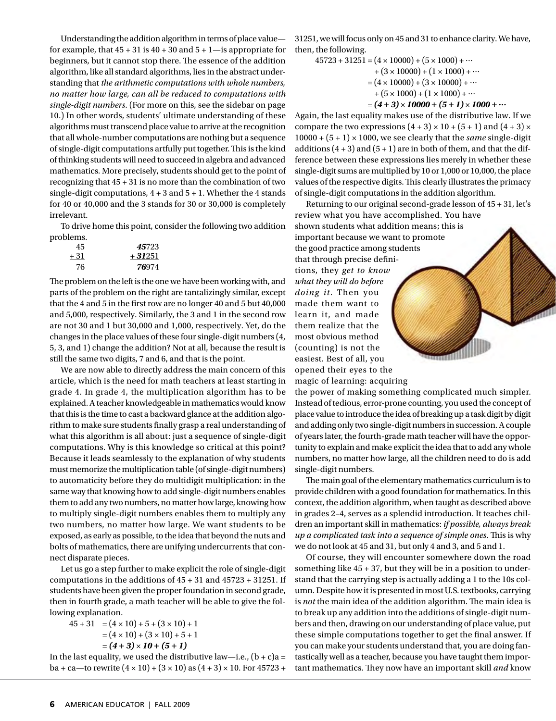Understanding the addition algorithm in terms of place value for example, that  $45 + 31$  is  $40 + 30$  and  $5 + 1$ —is appropriate for beginners, but it cannot stop there. The essence of the addition algorithm, like all standard algorithms, lies in the abstract understanding that *the arithmetic computations with whole numbers, no matter how large, can all be reduced to computations with single-digit numbers*. (For more on this, see the sidebar on page 10.) In other words, students' ultimate understanding of these algorithms must transcend place value to arrive at the recognition that all whole-number computations are nothing but a sequence of single-digit computations artfully put together. This is the kind of thinking students will need to succeed in algebra and advanced mathematics. More precisely, students should get to the point of recognizing that 45 + 31 is no more than the combination of two single-digit computations,  $4 + 3$  and  $5 + 1$ . Whether the 4 stands for 40 or 40,000 and the 3 stands for 30 or 30,000 is completely irrelevant.

To drive home this point, consider the following two addition problems.

| 45   | 45723    |
|------|----------|
| + 31 | $+31251$ |
| 76   | 76974    |

The problem on the left is the one we have been working with, and parts of the problem on the right are tantalizingly similar, except that the 4 and 5 in the first row are no longer 40 and 5 but 40,000 and 5,000, respectively. Similarly, the 3 and 1 in the second row are not 30 and 1 but 30,000 and 1,000, respectively. Yet, do the changes in the place values of these four single-digit numbers (4, 5, 3, and 1) change the addition? Not at all, because the result is still the same two digits, 7 and 6, and that is the point.

We are now able to directly address the main concern of this article, which is the need for math teachers at least starting in grade 4. In grade 4, the multiplication algorithm has to be explained. A teacher knowledgeable in mathematics would know that this is the time to cast a backward glance at the addition algorithm to make sure students finally grasp a real understanding of what this algorithm is all about: just a sequence of single-digit computations. Why is this knowledge so critical at this point? Because it leads seamlessly to the explanation of why students must memorize the multiplication table (of single-digit numbers) to automaticity before they do multidigit multiplication: in the same way that knowing how to add single-digit numbers enables them to add any two numbers, no matter how large, knowing how to multiply single-digit numbers enables them to multiply any two numbers, no matter how large. We want students to be exposed, as early as possible, to the idea that beyond the nuts and bolts of mathematics, there are unifying undercurrents that connect disparate pieces.

Let us go a step further to make explicit the role of single-digit computations in the additions of 45 + 31 and 45723 + 31251. If students have been given the proper foundation in second grade, then in fourth grade, a math teacher will be able to give the following explanation.

 $45 + 31 = (4 \times 10) + 5 + (3 \times 10) + 1$  $=(4 \times 10) + (3 \times 10) + 5 + 1$  $= (4 + 3) \times 10 + (5 + 1)$ 

In the last equality, we used the distributive law—i.e.,  $(b + c)a =$ ba + ca—to rewrite  $(4 \times 10) + (3 \times 10)$  as  $(4 + 3) \times 10$ . For 45723 + 31251, we will focus only on 45 and 31 to enhance clarity. We have, then, the following.

$$
45723 + 31251 = (4 \times 10000) + (5 \times 1000) + \cdots
$$
  
+ (3 \times 10000) + (1 \times 1000) + \cdots  
= (4 \times 10000) + (3 \times 10000) + \cdots  
+ (5 \times 1000) + (1 \times 1000) + \cdots  
= (4 + 3) \times 10000 + (5 + 1) \times 1000 + \cdots

Again, the last equality makes use of the distributive law. If we compare the two expressions  $(4+3) \times 10 + (5+1)$  and  $(4+3) \times$  $10000 + (5 + 1) \times 1000$ , we see clearly that the *same* single-digit additions  $(4 + 3)$  and  $(5 + 1)$  are in both of them, and that the difference between these expressions lies merely in whether these single-digit sums are multiplied by 10 or 1,000 or 10,000, the place values of the respective digits. This clearly illustrates the primacy of single-digit computations in the addition algorithm.

Returning to our original second-grade lesson of 45 + 31, let's review what you have accomplished. You have shown students what addition means; this is important because we want to promote the good practice among students that through precise definitions, they *get to know what they will do before doing it*. Then you made them want to learn it, and made them realize that the most obvious method (counting) is not the easiest. Best of all, you opened their eyes to the

magic of learning: acquiring

the power of making something complicated much simpler. Instead of tedious, error-prone counting, you used the concept of place value to introduce the idea of breaking up a task digit by digit and adding only two single-digit numbers in succession. A couple of years later, the fourth-grade math teacher will have the opportunity to explain and make explicit the idea that to add any whole numbers, no matter how large, all the children need to do is add single-digit numbers.

The main goal of the elementary mathematics curriculum is to provide children with a good foundation for mathematics. In this context, the addition algorithm, when taught as described above in grades 2–4, serves as a splendid introduction. It teaches children an important skill in mathematics: *if possible, always break up a complicated task into a sequence of simple ones*. This is why we do not look at 45 and 31, but only 4 and 3, and 5 and 1.

Of course, they will encounter somewhere down the road something like 45 + 37, but they will be in a position to understand that the carrying step is actually adding a 1 to the 10s column. Despite how it is presented in most U.S. textbooks, carrying is *not* the main idea of the addition algorithm. The main idea is to break up any addition into the additions of single-digit numbers and then, drawing on our understanding of place value, put these simple computations together to get the final answer. If you can make your students understand that, you are doing fantastically well as a teacher, because you have taught them important mathematics. They now have an important skill *and* know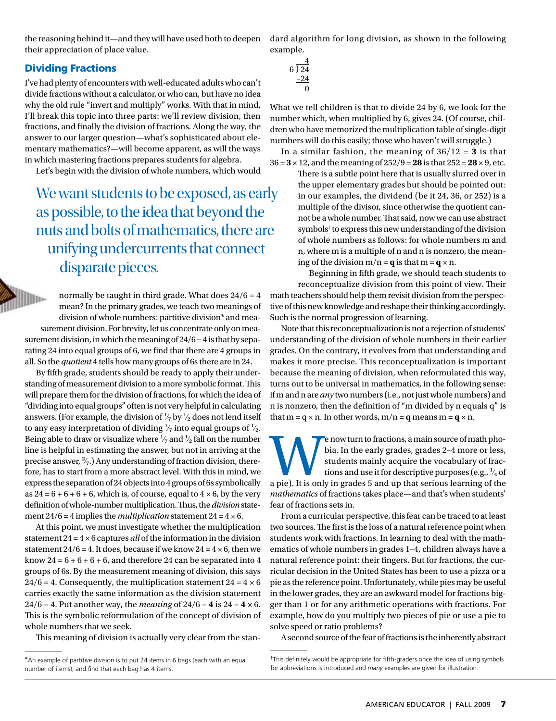the reasoning behind it—and they will have used both to deepen their appreciation of place value.

### Dividing Fractions

I've had plenty of encounters with well-educated adults who can't divide fractions without a calculator, or who can, but have no idea why the old rule "invert and multiply" works. With that in mind, I'll break this topic into three parts: we'll review division, then fractions, and finally the division of fractions. Along the way, the answer to our larger question—what's sophisticated about elementary mathematics?—will become apparent, as will the ways in which mastering fractions prepares students for algebra.

Let's begin with the division of whole numbers, which would

We want students to be exposed, as early as possible, to the idea that beyond the nuts and bolts of mathematics, there are unifying undercurrents that connect disparate pieces.

normally be taught in third grade. What does  $24/6 = 4$ llu. mean? In the primary grades, we teach two meanings of division of whole numbers: partitive division\* and mea-

surement division. For brevity, let us concentrate only on measurement division, in which the meaning of  $24/6 = 4$  is that by separating 24 into equal groups of 6, we find that there are 4 groups in all. So the *quotient* 4 tells how many groups of 6s there are in 24.

By fifth grade, students should be ready to apply their understanding of measurement division to a more symbolic format. This will prepare them for the division of fractions, for which the idea of "dividing into equal groups" often is not very helpful in calculating answers. (For example, the division of  $\frac{1}{2}$  by  $\frac{1}{2}$  does not lend itself to any easy interpretation of dividing  $\frac{1}{7}$  into equal groups of  $\frac{1}{2}$ . Being able to draw or visualize where  $\frac{1}{2}$  and  $\frac{1}{2}$  fall on the number line is helpful in estimating the answer, but not in arriving at the precise answer,  $\frac{2}{7}$ .) Any understanding of fraction division, therefore, has to start from a more abstract level. With this in mind, we express the separation of 24 objects into 4 groups of 6s symbolically as  $24 = 6 + 6 + 6 + 6$ , which is, of course, equal to  $4 \times 6$ , by the very definition of whole-number multiplication. Thus, the *division* statement  $24/6 = 4$  implies the *multiplication* statement  $24 = 4 \times 6$ .

At this point, we must investigate whether the multiplication statement 24 = 4 × 6 captures *all* of the information in the division statement  $24/6 = 4$ . It does, because if we know  $24 = 4 \times 6$ , then we know  $24 = 6 + 6 + 6 + 6$ , and therefore 24 can be separated into 4 groups of 6s. By the measurement meaning of division, this says  $24/6 = 4$ . Consequently, the multiplication statement  $24 = 4 \times 6$ carries exactly the same information as the division statement 24/6 = 4. Put another way, the *meaning* of  $24/6 = 4$  is  $24 = 4 \times 6$ . This is the symbolic reformulation of the concept of division of whole numbers that we seek.

This meaning of division is actually very clear from the stan-

dard algorithm for long division, as shown in the following example.

$$
\begin{array}{r} 4 \overline{\smash)24} \\ 6 \overline{\smash)24} \\ \underline{-24} \\ 0 \end{array}
$$

What we tell children is that to divide 24 by 6, we look for the number which, when multiplied by 6, gives 24. (Of course, children who have memorized the multiplication table of single-digit numbers will do this easily; those who haven't will struggle.)

In a similar fashion, the meaning of  $36/12 = 3$  is that 36 = **3** × 12, and the meaning of 252/9 = **28** is that 252 = **28** × 9, etc.

There is a subtle point here that is usually slurred over in the upper elementary grades but should be pointed out: in our examples, the dividend (be it 24, 36, or 252) is a multiple of the divisor, since otherwise the quotient cannot be a whole number. That said, now we can use abstract symbols† to express this new understanding of the division of whole numbers as follows: for whole numbers m and n, where m is a multiple of n and n is nonzero, the meaning of the division  $m/n = q$  is that  $m = q \times n$ .

Beginning in fifth grade, we should teach students to reconceptualize division from this point of view. Their math teachers should help them revisit division from the perspective of this new knowledge and reshape their thinking accordingly. Such is the normal progression of learning.

Note that this reconceptualization is not a rejection of students' understanding of the division of whole numbers in their earlier grades. On the contrary, it evolves from that understanding and makes it more precise. This reconceptualization is important because the meaning of division, when reformulated this way, turns out to be universal in mathematics, in the following sense: if m and n are *any* two numbers (i.e., not just whole numbers) and n is nonzero, then the definition of "m divided by n equals q" is that  $m = q \times n$ . In other words,  $m/n = q$  means  $m = q \times n$ .

e now turn to fractions, a main source of math pho-<br>bia. In the early grades, grades 2-4 more or less,<br>students mainly acquire the vocabulary of frac-<br>tions and use it for descriptive purposes (e.g.,  $\frac{1}{4}$  of<br>a pie). I bia. In the early grades, grades 2–4 more or less, students mainly acquire the vocabulary of fractions and use it for descriptive purposes (e.g.,  $\frac{1}{4}$  of *mathematics* of fractions takes place—and that's when students' fear of fractions sets in.

From a curricular perspective, this fear can be traced to at least two sources. The first is the loss of a natural reference point when students work with fractions. In learning to deal with the mathematics of whole numbers in grades 1–4, children always have a natural reference point: their fingers. But for fractions, the curricular decision in the United States has been to use a pizza or a pie as the reference point. Unfortunately, while pies may be useful in the lower grades, they are an awkward model for fractions bigger than 1 or for any arithmetic operations with fractions. For example, how do you multiply two pieces of pie or use a pie to solve speed or ratio problems?

A second source of the fear of fractions is the inherently abstract

<sup>\*</sup>An example of partitive division is to put 24 items in 6 bags (each with an equal number of items), and find that each bag has 4 items.

<sup>†</sup> This definitely would be appropriate for fifth-graders once the idea of using symbols for abbreviations is introduced and *many* examples are given for illustration.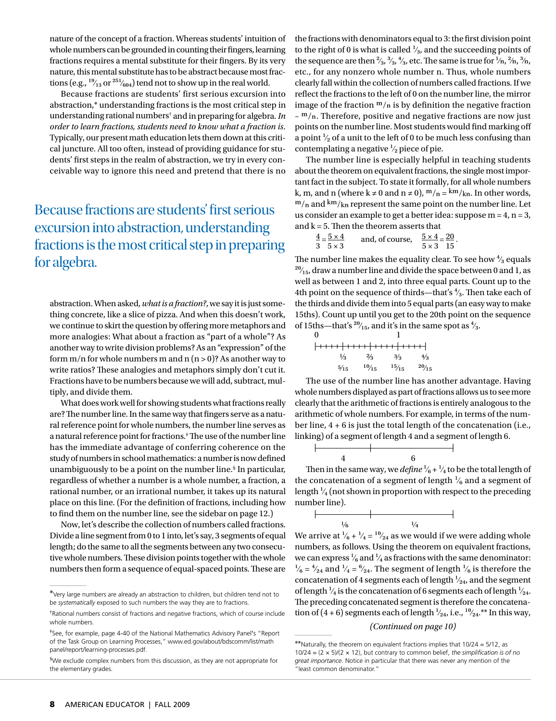nature of the concept of a fraction. Whereas students' intuition of whole numbers can be grounded in counting their fingers, learning fractions requires a mental substitute for their fingers. By its very nature, this mental substitute has to be abstract because most fractions (e.g.,  $\frac{19}{13}$  or  $\frac{251}{604}$ ) tend not to show up in the real world.

Because fractions are students' first serious excursion into abstraction,\* understanding fractions is the most critical step in understanding rational numbers† and in preparing for algebra. *In order to learn fractions, students need to know what a fraction is*. Typically, our present math education lets them down at this critical juncture. All too often, instead of providing guidance for students' first steps in the realm of abstraction, we try in every conceivable way to ignore this need and pretend that there is no

Because fractions are students' first serious excursion into abstraction, understanding fractions is the most critical step in preparing for algebra.

abstraction. When asked, *what is a fraction?*, we say it is just something concrete, like a slice of pizza. And when this doesn't work, we continue to skirt the question by offering more metaphors and more analogies: What about a fraction as "part of a whole"? As another way to write division problems? As an "expression" of the form  $m/n$  for whole numbers m and  $n (n > 0)$ ? As another way to write ratios? These analogies and metaphors simply don't cut it. Fractions have to be numbers because we will add, subtract, multiply, and divide them.

What does work well for showing students what fractions really are? The number line. In the same way that fingers serve as a natural reference point for whole numbers, the number line serves as a natural reference point for fractions.‡ The use of the number line has the immediate advantage of conferring coherence on the study of numbers in school mathematics: a number is now defined unambiguously to be a point on the number line.§ In particular, regardless of whether a number is a whole number, a fraction, a rational number, or an irrational number, it takes up its natural place on this line. (For the definition of fractions, including how to find them on the number line, see the sidebar on page 12.)

Now, let's describe the collection of numbers called fractions. Divide a line segment from 0 to 1 into, let's say, 3 segments of equal length; do the same to all the segments between any two consecutive whole numbers. These division points together with the whole numbers then form a sequence of equal-spaced points. These are

the fractions with denominators equal to 3: the first division point to the right of 0 is what is called  $\frac{1}{3}$ , and the succeeding points of the sequence are then  $\frac{2}{3}$ ,  $\frac{3}{3}$ ,  $\frac{4}{3}$ , etc. The same is true for  $\frac{1}{n}$ ,  $\frac{2}{n}$ ,  $\frac{3}{n}$ , etc., for any nonzero whole number n. Thus, whole numbers clearly fall within the collection of numbers called fractions. If we reflect the fractions to the left of 0 on the number line, the mirror image of the fraction  $m/n$  is by definition the negative fraction  $-$  m/ $<sub>n</sub>$ . Therefore, positive and negative fractions are now just</sub> points on the number line. Most students would find marking off a point  $\frac{1}{2}$  of a unit to the left of 0 to be much less confusing than contemplating a negative  $\frac{1}{2}$  piece of pie.

The number line is especially helpful in teaching students about the theorem on equivalent fractions, the single most important fact in the subject. To state it formally, for all whole numbers k, m, and n (where  $k \neq 0$  and  $n \neq 0$ ),  $m/n = \frac{km}{kn}$ . In other words,  $m/n$  and  $km/kn$  represent the same point on the number line. Let us consider an example to get a better idea: suppose  $m = 4$ ,  $n = 3$ , and  $k = 5$ . Then the theorem asserts that

| $\frac{4}{5}$ $\times$ 4 | and, of course, | $\frac{5\times4}{2} = 20$ |  |  |
|--------------------------|-----------------|---------------------------|--|--|
| $3.5 \times 3$           |                 | $5 \times 3$ 15           |  |  |

The number line makes the equality clear. To see how  $\frac{4}{3}$  equals  $^{20}/_{15}$ , draw a number line and divide the space between 0 and 1, as well as between 1 and 2, into three equal parts. Count up to the 4th point on the sequence of thirds—that's  $\frac{4}{3}$ . Then take each of the thirds and divide them into 5 equal parts (an easy way to make 15ths). Count up until you get to the 20th point on the sequence of 15ths—that's  $\frac{20}{15}$ , and it's in the same spot as  $\frac{4}{3}$ .

| 0 |                |                                  |               |               |
|---|----------------|----------------------------------|---------------|---------------|
|   |                | <del> ++++ ++++ ++++ ++++ </del> |               |               |
|   | 1⁄3            | $\frac{2}{3}$                    | $\frac{3}{3}$ | 4/3           |
|   | $\frac{5}{15}$ | 10/15                            | 15/15         | $^{20}/_{15}$ |

The use of the number line has another advantage. Having whole numbers displayed as part of fractions allows us to see more clearly that the arithmetic of fractions is entirely analogous to the arithmetic of whole numbers. For example, in terms of the number line, 4 + 6 is just the total length of the concatenation (i.e., linking) of a segment of length 4 and a segment of length 6.



Then in the same way, we *define*  $\frac{1}{6} + \frac{1}{4}$  to be the total length of the concatenation of a segment of length  $\frac{1}{6}$  and a segment of length  $\frac{1}{4}$  (not shown in proportion with respect to the preceding number line).



We arrive at  $\frac{1}{6} + \frac{1}{4} = \frac{10}{24}$  as we would if we were adding whole numbers, as follows. Using the theorem on equivalent fractions, we can express  $\frac{1}{6}$  and  $\frac{1}{4}$  as fractions with the same denominator:  $\frac{1}{6}$  =  $\frac{4}{24}$  and  $\frac{1}{4}$  =  $\frac{6}{24}$ . The segment of length  $\frac{1}{6}$  is therefore the concatenation of 4 segments each of length  $\frac{1}{24}$ , and the segment of length  $\frac{1}{4}$  is the concatenation of 6 segments each of length  $\frac{1}{2}$ . The preceding concatenated segment is therefore the concatenation of (4 + 6) segments each of length  $\frac{1}{24}$ , i.e.,  $\frac{10}{24}$ .\*\* In this way,

#### *(Continued on page 10)*

<sup>\*</sup>Very large numbers are already an abstraction to children, but children tend not to be *systematically* exposed to such numbers the way they are to fractions.

<sup>†</sup> Rational numbers consist of fractions and negative fractions, which of course include whole numbers.

<sup>‡</sup> See, for example, page 4-40 of the National Mathematics Advisory Panel's "Report of the Task Group on Learning Processes," www.ed.gov/about/bdscomm/list/math panel/report/learning-processes.pdf.

<sup>§</sup> We exclude complex numbers from this discussion, as they are not appropriate for the elementary grades.

<sup>\*\*</sup>Naturally, the theorem on equivalent fractions implies that 10/24 = 5/12, as 10/24 = (2 × 5)/(2 × 12), but contrary to common belief, *the simplification is of no great importance*. Notice in particular that there was never any mention of the "least common denominator."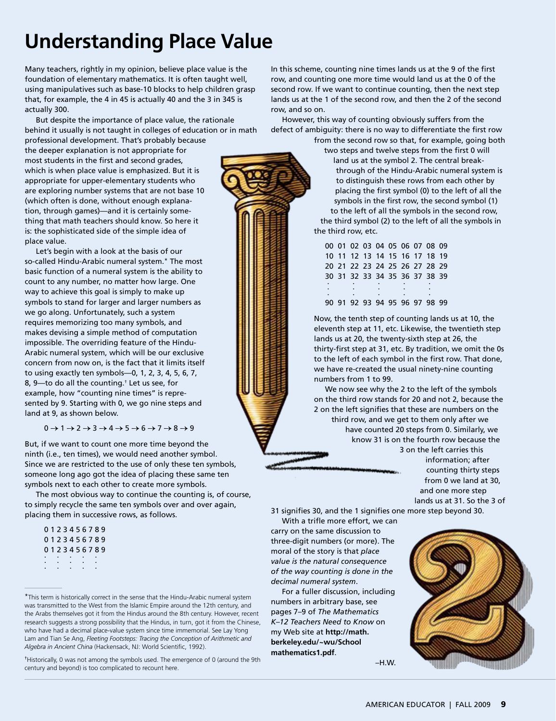# **Understanding Place Value**

Many teachers, rightly in my opinion, believe place value is the foundation of elementary mathematics. It is often taught well, using manipulatives such as base-10 blocks to help children grasp that, for example, the 4 in 45 is actually 40 and the 3 in 345 is actually 300.

But despite the importance of place value, the rationale behind it usually is not taught in colleges of education or in math

professional development. That's probably because the deeper explanation is not appropriate for most students in the first and second grades, which is when place value is emphasized. But it is appropriate for upper-elementary students who are exploring number systems that are not base 10 (which often is done, without enough explanation, through games)—and it is certainly something that math teachers should know. So here it is: the sophisticated side of the simple idea of place value.

Let's begin with a look at the basis of our so-called Hindu-Arabic numeral system.\* The most basic function of a numeral system is the ability to count to any number, no matter how large. One way to achieve this goal is simply to make up symbols to stand for larger and larger numbers as we go along. Unfortunately, such a system requires memorizing too many symbols, and makes devising a simple method of computation impossible. The overriding feature of the Hindu-Arabic numeral system, which will be our exclusive concern from now on, is the fact that it limits itself to using exactly ten symbols—0, 1, 2, 3, 4, 5, 6, 7, 8, 9—to do all the counting.† Let us see, for example, how "counting nine times" is represented by 9. Starting with 0, we go nine steps and land at 9, as shown below.

 $0 \rightarrow 1 \rightarrow 2 \rightarrow 3 \rightarrow 4 \rightarrow 5 \rightarrow 6 \rightarrow 7 \rightarrow 8 \rightarrow 9$ 

But, if we want to count one more time beyond the ninth (i.e., ten times), we would need another symbol. Since we are restricted to the use of only these ten symbols, someone long ago got the idea of placing these same ten symbols next to each other to create more symbols.

The most obvious way to continue the counting is, of course, to simply recycle the same ten symbols over and over again, placing them in successive rows, as follows.

| 0123456789 |  |  |  |            |  |
|------------|--|--|--|------------|--|
| 0123456789 |  |  |  |            |  |
|            |  |  |  | 0123456789 |  |
|            |  |  |  |            |  |
|            |  |  |  |            |  |
|            |  |  |  |            |  |

<sup>\*</sup>This term is historically correct in the sense that the Hindu-Arabic numeral system was transmitted to the West from the Islamic Empire around the 12th century, and the Arabs themselves got it from the Hindus around the 8th century. However, recent research suggests a strong possibility that the Hindus, in turn, got it from the Chinese, who have had a decimal place-value system since time immemorial. See Lay Yong Lam and Tian Se Ang, *Fleeting Footsteps: Tracing the Conception of Arithmetic and Algebra in Ancient China* (Hackensack, NJ: World Scientific, 1992).

† Historically, 0 was not among the symbols used. The emergence of 0 (around the 9th century and beyond) is too complicated to recount here.

In this scheme, counting nine times lands us at the 9 of the first row, and counting one more time would land us at the 0 of the second row. If we want to continue counting, then the next step lands us at the 1 of the second row, and then the 2 of the second row, and so on.

However, this way of counting obviously suffers from the defect of ambiguity: there is no way to differentiate the first row

from the second row so that, for example, going both two steps and twelve steps from the first 0 will land us at the symbol 2. The central breakthrough of the Hindu-Arabic numeral system is to distinguish these rows from each other by placing the first symbol (0) to the left of all the symbols in the first row, the second symbol (1) to the left of all the symbols in the second row, the third symbol (2) to the left of all the symbols in the third row, etc.

00 01 02 03 04 05 06 07 08 09 10 11 12 13 14 15 16 17 18 19 20 21 22 23 24 25 26 27 28 29 30 31 32 33 34 35 36 37 38 39 . . . . . . . . . . . . . . . 90 91 92 93 94 95 96 97 98 99

Now, the tenth step of counting lands us at 10, the eleventh step at 11, etc. Likewise, the twentieth step lands us at 20, the twenty-sixth step at 26, the thirty-first step at 31, etc. By tradition, we omit the 0s to the left of each symbol in the first row. That done, we have re-created the usual ninety-nine counting numbers from 1 to 99.

We now see why the 2 to the left of the symbols on the third row stands for 20 and not 2, because the 2 on the left signifies that these are numbers on the third row, and we get to them only after we have counted 20 steps from 0. Similarly, we know 31 is on the fourth row because the 3 on the left carries this

information; after counting thirty steps from 0 we land at 30, and one more step lands us at 31. So the 3 of

31 signifies 30, and the 1 signifies one more step beyond 30. With a trifle more effort, we can

carry on the same discussion to three-digit numbers (or more). The moral of the story is that *place value is the natural consequence of the way counting is done in the decimal numeral system*.

For a fuller discussion, including numbers in arbitrary base, see pages 7–9 of *The Mathematics K–12 Teachers Need to Know* on my Web site at **http://math. berkeley.edu/~wu/School mathematics1.pdf**.

–H.W.

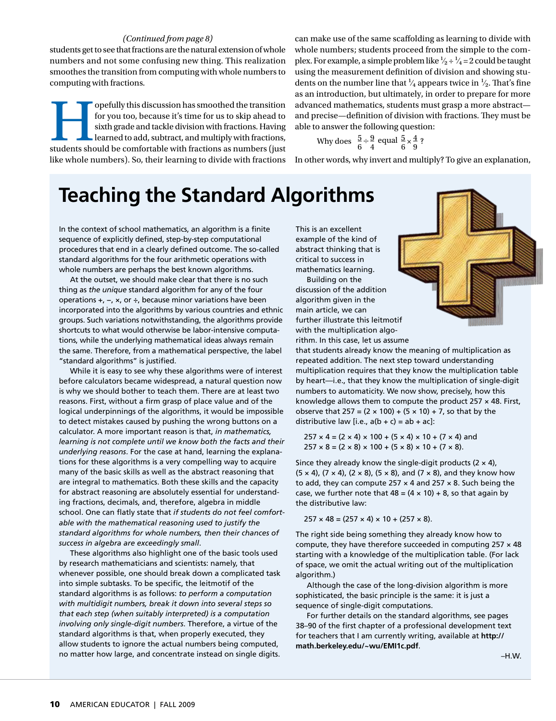#### *(Continued from page 8)*

students get to see that fractions are the natural extension of whole numbers and not some confusing new thing. This realization smoothes the transition from computing with whole numbers to computing with fractions.

opefully this discussion has smoothed the transition for you too, because it's time for us to skip ahead to sixth grade and tackle division with fractions. Having learned to add, subtract, and multiply with fractions, stud for you too, because it's time for us to skip ahead to sixth grade and tackle division with fractions. Having learned to add, subtract, and multiply with fractions, like whole numbers). So, their learning to divide with fractions can make use of the same scaffolding as learning to divide with whole numbers; students proceed from the simple to the complex. For example, a simple problem like  $\frac{1}{2} \div \frac{1}{4} = 2$  could be taught using the measurement definition of division and showing students on the number line that  $\frac{1}{4}$  appears twice in  $\frac{1}{2}$ . That's fine as an introduction, but ultimately, in order to prepare for more advanced mathematics, students must grasp a more abstract and precise—definition of division with fractions. They must be able to answer the following question:

Why does 
$$
\frac{5}{6} \div \frac{9}{4}
$$
 equal  $\frac{5}{6} \times \frac{4}{9}$ ?

In other words, why invert and multiply? To give an explanation,

## **Teaching the Standard Algorithms**

In the context of school mathematics, an algorithm is a finite sequence of explicitly defined, step-by-step computational procedures that end in a clearly defined outcome. The so-called standard algorithms for the four arithmetic operations with whole numbers are perhaps the best known algorithms.

At the outset, we should make clear that there is no such thing as *the unique* standard algorithm for any of the four operations +, −, ×, or ÷, because minor variations have been incorporated into the algorithms by various countries and ethnic groups. Such variations notwithstanding, the algorithms provide shortcuts to what would otherwise be labor-intensive computations, while the underlying mathematical ideas always remain the same. Therefore, from a mathematical perspective, the label "standard algorithms" is justified.

While it is easy to see why these algorithms were of interest before calculators became widespread, a natural question now is why we should bother to teach them. There are at least two reasons. First, without a firm grasp of place value and of the logical underpinnings of the algorithms, it would be impossible to detect mistakes caused by pushing the wrong buttons on a calculator. A more important reason is that, *in mathematics, learning is not complete until we know both the facts and their underlying reasons*. For the case at hand, learning the explanations for these algorithms is a very compelling way to acquire many of the basic skills as well as the abstract reasoning that are integral to mathematics. Both these skills and the capacity for abstract reasoning are absolutely essential for understanding fractions, decimals, and, therefore, algebra in middle school. One can flatly state that *if students do not feel comfortable with the mathematical reasoning used to justify the standard algorithms for whole numbers, then their chances of success in algebra are exceedingly small*.

These algorithms also highlight one of the basic tools used by research mathematicians and scientists: namely, that whenever possible, one should break down a complicated task into simple subtasks. To be specific, the leitmotif of the standard algorithms is as follows: *to perform a computation with multidigit numbers, break it down into several steps so that each step (when suitably interpreted) is a computation involving only single-digit numbers*. Therefore, a virtue of the standard algorithms is that, when properly executed, they allow students to ignore the actual numbers being computed, no matter how large, and concentrate instead on single digits.

This is an excellent example of the kind of abstract thinking that is critical to success in mathematics learning. Building on the

discussion of the addition algorithm given in the main article, we can further illustrate this leitmotif with the multiplication algorithm. In this case, let us assume



that students already know the meaning of multiplication as repeated addition. The next step toward understanding multiplication requires that they know the multiplication table by heart—i.e., that they know the multiplication of single-digit numbers to automaticity. We now show, precisely, how this knowledge allows them to compute the product  $257 \times 48$ . First, observe that  $257 = (2 \times 100) + (5 \times 10) + 7$ , so that by the distributive law [i.e.,  $a(b + c) = ab + ac$ ]:

 $257 \times 4 = (2 \times 4) \times 100 + (5 \times 4) \times 10 + (7 \times 4)$  and  $257 \times 8 = (2 \times 8) \times 100 + (5 \times 8) \times 10 + (7 \times 8)$ .

Since they already know the single-digit products ( $2 \times 4$ ),  $(5 \times 4)$ ,  $(7 \times 4)$ ,  $(2 \times 8)$ ,  $(5 \times 8)$ , and  $(7 \times 8)$ , and they know how to add, they can compute 257  $\times$  4 and 257  $\times$  8. Such being the case, we further note that  $48 = (4 \times 10) + 8$ , so that again by the distributive law:

 $257 \times 48 = (257 \times 4) \times 10 + (257 \times 8).$ 

The right side being something they already know how to compute, they have therefore succeeded in computing  $257 \times 48$ starting with a knowledge of the multiplication table. (For lack of space, we omit the actual writing out of the multiplication algorithm.)

Although the case of the long-division algorithm is more sophisticated, the basic principle is the same: it is just a sequence of single-digit computations.

For further details on the standard algorithms, see pages 38–90 of the first chapter of a professional development text for teachers that I am currently writing, available at **http:// math.berkeley.edu/~wu/EMI1c.pdf**.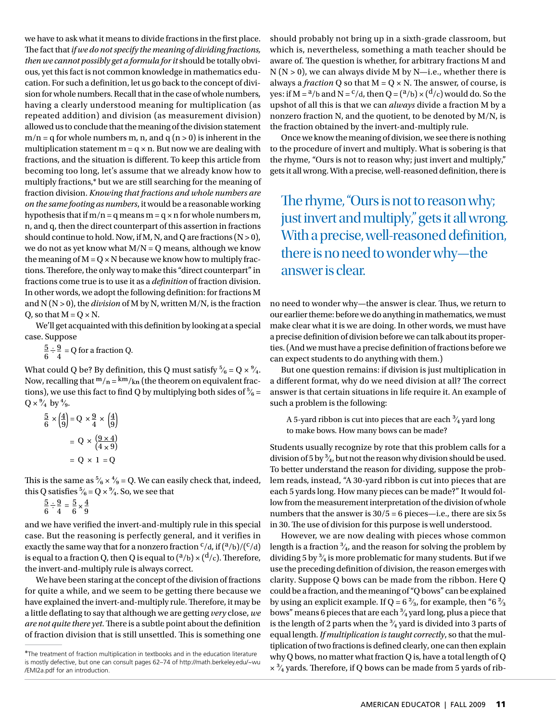we have to ask what it means to divide fractions in the first place. The fact that *if we do not specify the meaning of dividing fractions, then we cannot possibly get a formula for it* should be totally obvious, yet this fact is not common knowledge in mathematics education. For such a definition, let us go back to the concept of division for whole numbers. Recall that in the case of whole numbers, having a clearly understood meaning for multiplication (as repeated addition) and division (as measurement division) allowed us to conclude that the meaning of the division statement  $m/n = q$  for whole numbers m, n, and  $q (n > 0)$  is inherent in the multiplication statement  $m = q \times n$ . But now we are dealing with fractions, and the situation is different. To keep this article from becoming too long, let's assume that we already know how to multiply fractions,\* but we are still searching for the meaning of fraction division. *Knowing that fractions and whole numbers are on the same footing as numbers*, it would be a reasonable working hypothesis that if  $m/n = q$  means  $m = q \times n$  for whole numbers m, n, and q, then the direct counterpart of this assertion in fractions should continue to hold. Now, if M, N, and Q are fractions  $(N > 0)$ , we do not as yet know what  $M/N = Q$  means, although we know the meaning of  $M = Q \times N$  because we know how to multiply fractions. Therefore, the only way to make this "direct counterpart" in fractions come true is to use it as a *definition* of fraction division. In other words, we adopt the following definition: for fractions M and N (N > 0), the *division* of M by N, written M/N, is the fraction O, so that  $M = Q \times N$ .

We'll get acquainted with this definition by looking at a special case. Suppose

 $\frac{5}{6} \div \frac{9}{4} = Q$  for a fraction Q.

What could Q be? By definition, this Q must satisfy  $\frac{5}{6} = Q \times \frac{9}{4}$ . Now, recalling that  $m/n = \frac{km}{kn}$  (the theorem on equivalent fractions), we use this fact to find Q by multiplying both sides of  $\frac{5}{6}$  =  $Q \times \frac{9}{4}$  by  $\frac{4}{9}$ .

$$
\frac{5}{6} \times \left(\frac{4}{9}\right) = Q \times \frac{9}{4} \times \left(\frac{4}{9}\right)
$$

$$
= Q \times \left(\frac{9 \times 4}{4 \times 9}\right)
$$

$$
= Q \times 1 = Q
$$

This is the same as  $\frac{5}{6} \times \frac{4}{9} = 0$ . We can easily check that, indeed, this Q satisfies  $\frac{5}{6}$  = Q  $\times$   $\frac{9}{4}$ . So, we see that

$$
\frac{5}{6} \div \frac{9}{4} = \frac{5}{6} \times \frac{4}{9}
$$

and we have verified the invert-and-multiply rule in this special case. But the reasoning is perfectly general, and it verifies in exactly the same way that for a nonzero fraction  $c/d$ , if  $(a/b)/(c/d)$ is equal to a fraction Q, then Q is equal to  $({}^{a}/_{b}) \times ({}^{d}/_{c})$ . Therefore, the invert-and-multiply rule is always correct.

We have been staring at the concept of the division of fractions for quite a while, and we seem to be getting there because we have explained the invert-and-multiply rule. Therefore, it may be a little deflating to say that although we are getting *very* close, *we are not quite there yet*. There is a subtle point about the definition of fraction division that is still unsettled. This is something one

\*The treatment of fraction multiplication in textbooks and in the education literature is mostly defective, but one can consult pages 62–74 of http://math.berkeley.edu/~wu /EMI2a.pdf for an introduction.

should probably not bring up in a sixth-grade classroom, but which is, nevertheless, something a math teacher should be aware of. The question is whether, for arbitrary fractions M and  $N(N > 0)$ , we can always divide M by N—i.e., whether there is always a *fraction* Q so that  $M = Q \times N$ . The answer, of course, is yes: if  $M = a/b$  and  $N = c/d$ , then  $Q = (a/b) \times (d/c)$  would do. So the upshot of all this is that we can *always* divide a fraction M by a nonzero fraction N, and the quotient, to be denoted by M/N, is the fraction obtained by the invert-and-multiply rule.

Once we know the meaning of division, we see there is nothing to the procedure of invert and multiply. What is sobering is that the rhyme, "Ours is not to reason why; just invert and multiply," gets it all wrong. With a precise, well-reasoned definition, there is

The rhyme, "Ours is not to reason why; just invert and multiply," gets it all wrong. With a precise, well-reasoned definition, there is no need to wonder why—the answer is clear.

no need to wonder why—the answer is clear. Thus, we return to our earlier theme: before we do anything in mathematics, we must make clear what it is we are doing. In other words, we must have a precise definition of division before we can talk about its properties. (And we must have a precise definition of fractions before we can expect students to do anything with them.)

But one question remains: if division is just multiplication in a different format, why do we need division at all? The correct answer is that certain situations in life require it. An example of such a problem is the following:

A 5-yard ribbon is cut into pieces that are each  $\frac{3}{4}$  yard long to make bows. How many bows can be made?

Students usually recognize by rote that this problem calls for a division of 5 by  $\frac{3}{4}$ , but not the reason why division should be used. To better understand the reason for dividing, suppose the problem reads, instead, "A 30-yard ribbon is cut into pieces that are each 5 yards long. How many pieces can be made?" It would follow from the measurement interpretation of the division of whole numbers that the answer is 30/5 = 6 pieces—i.e., there are six 5s in 30. The use of division for this purpose is well understood.

However, we are now dealing with pieces whose common length is a fraction  $\frac{3}{4}$ , and the reason for solving the problem by dividing 5 by  $\frac{3}{4}$  is more problematic for many students. But if we use the preceding definition of division, the reason emerges with clarity. Suppose Q bows can be made from the ribbon. Here Q could be a fraction, and the meaning of "Q bows" can be explained by using an explicit example. If Q =  $6\frac{2}{3}$ , for example, then " $6\frac{2}{3}$ " bows" means 6 pieces that are each  $\frac{3}{4}$  yard long, plus a piece that is the length of 2 parts when the  $\frac{3}{4}$  yard is divided into 3 parts of equal length. *If multiplication is taught correctly*, so that the multiplication of two fractions is defined clearly, one can then explain why Q bows, no matter what fraction Q is, have a total length of Q  $\times$   $\frac{3}{4}$  yards. Therefore, if Q bows can be made from 5 yards of rib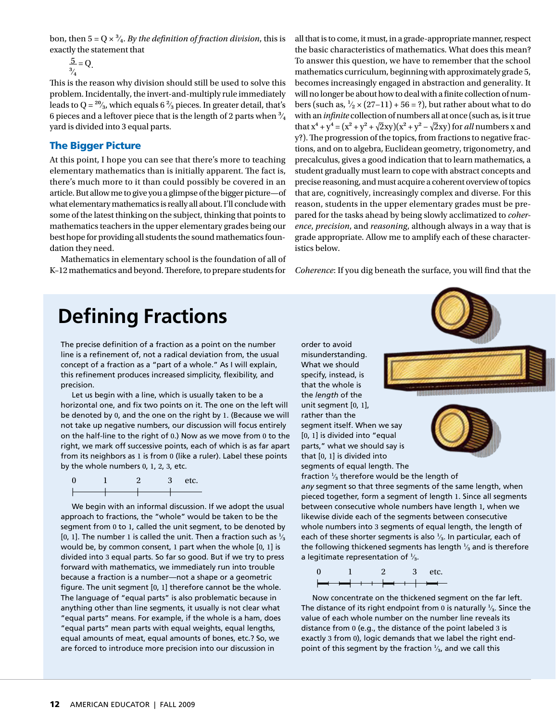bon, then  $5 = Q \times \frac{3}{4}$ . *By the definition of fraction division*, this is exactly the statement that

 $\overline{2} = Q$ .  $\frac{3}{4}$ 

This is the reason why division should still be used to solve this problem. Incidentally, the invert-and-multiply rule immediately leads to Q =  $\frac{20}{3}$ , which equals 6 $\frac{2}{3}$  pieces. In greater detail, that's 6 pieces and a leftover piece that is the length of 2 parts when  $\frac{3}{4}$ yard is divided into 3 equal parts.

### The Bigger Picture

At this point, I hope you can see that there's more to teaching elementary mathematics than is initially apparent. The fact is, there's much more to it than could possibly be covered in an article. But allow me to give you a glimpse of the bigger picture—of what elementary mathematics is really all about. I'll conclude with some of the latest thinking on the subject, thinking that points to mathematics teachers in the upper elementary grades being our best hope for providing all students the sound mathematics foundation they need.

Mathematics in elementary school is the foundation of all of K–12 mathematics and beyond. Therefore, to prepare students for all that is to come, it must, in a grade-appropriate manner, respect the basic characteristics of mathematics. What does this mean? To answer this question, we have to remember that the school mathematics curriculum, beginning with approximately grade 5, becomes increasingly engaged in abstraction and generality. It will no longer be about how to deal with a finite collection of numbers (such as,  $\frac{1}{2} \times (27-11) + 56 = ?$ ), but rather about what to do with an *infinite* collection of numbers all at once (such as, is it true that  $x^4 + y^4 = (x^2 + y^2 + \sqrt{2}xy)(x^2 + y^2 - \sqrt{2}xy)$  for *all* numbers x and y?). The progression of the topics, from fractions to negative fractions, and on to algebra, Euclidean geometry, trigonometry, and precalculus, gives a good indication that to learn mathematics, a student gradually must learn to cope with abstract concepts and precise reasoning, and must acquire a coherent overview of topics that are, cognitively, increasingly complex and diverse. For this reason, students in the upper elementary grades must be prepared for the tasks ahead by being slowly acclimatized to *coherence*, *precision*, and *reasoning*, although always in a way that is grade appropriate. Allow me to amplify each of these characteristics below.

*Coherence*: If you dig beneath the surface, you will find that the

# **Defining Fractions**

The precise definition of a fraction as a point on the number line is a refinement of, not a radical deviation from, the usual concept of a fraction as a "part of a whole." As I will explain, this refinement produces increased simplicity, flexibility, and precision.

Let us begin with a line, which is usually taken to be a horizontal one, and fix two points on it. The one on the left will be denoted by 0, and the one on the right by 1. (Because we will not take up negative numbers, our discussion will focus entirely on the half-line to the right of 0.) Now as we move from 0 to the right, we mark off successive points, each of which is as far apart from its neighbors as 1 is from 0 (like a ruler). Label these points by the whole numbers 0, 1, 2, 3, etc.

| ſ |  | etc. |
|---|--|------|
|   |  |      |
|   |  |      |

We begin with an informal discussion. If we adopt the usual approach to fractions, the "whole" would be taken to be the segment from 0 to 1, called the unit segment, to be denoted by [0, 1]. The number 1 is called the unit. Then a fraction such as  $\frac{1}{3}$ would be, by common consent, 1 part when the whole [0, 1] is divided into 3 equal parts. So far so good. But if we try to press forward with mathematics, we immediately run into trouble because a fraction is a number—not a shape or a geometric figure. The unit segment [0, 1] therefore cannot be the whole. The language of "equal parts" is also problematic because in anything other than line segments, it usually is not clear what "equal parts" means. For example, if the whole is a ham, does "equal parts" mean parts with equal weights, equal lengths, equal amounts of meat, equal amounts of bones, etc.? So, we are forced to introduce more precision into our discussion in

misunderstanding. What we should specify, instead, is that the whole is the *length* of the unit segment [0, 1], rather than the segment itself. When we say [0, 1] is divided into "equal parts," what we should say is that [0, 1] is divided into

order to avoid



segments of equal length. The fraction  $\frac{1}{3}$  therefore would be the length of

*any* segment so that three segments of the same length, when pieced together, form a segment of length 1. Since all segments between consecutive whole numbers have length 1, when we likewise divide each of the segments between consecutive whole numbers into 3 segments of equal length, the length of each of these shorter segments is also  $\frac{1}{3}$ . In particular, each of the following thickened segments has length  $\frac{1}{3}$  and is therefore a legitimate representation of  $\frac{1}{3}$ .

$$
\begin{array}{ccccccc}\n0 & 1 & 2 & 3 & \text{etc.} \\
\end{array}
$$

Now concentrate on the thickened segment on the far left. The distance of its right endpoint from 0 is naturally  $\frac{1}{3}$ . Since the value of each whole number on the number line reveals its distance from 0 (e.g., the distance of the point labeled 3 is exactly 3 from 0), logic demands that we label the right endpoint of this segment by the fraction  $\frac{1}{3}$ , and we call this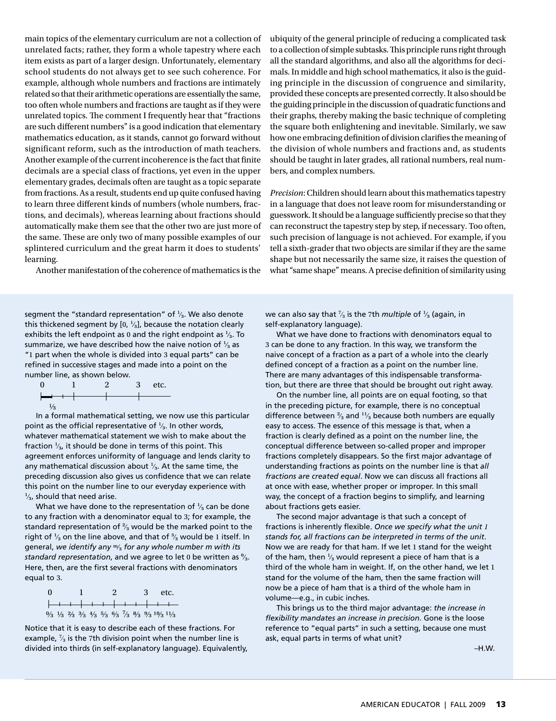main topics of the elementary curriculum are not a collection of unrelated facts; rather, they form a whole tapestry where each item exists as part of a larger design. Unfortunately, elementary school students do not always get to see such coherence. For example, although whole numbers and fractions are intimately related so that their arithmetic operations are essentially the same, too often whole numbers and fractions are taught as if they were unrelated topics. The comment I frequently hear that "fractions are such different numbers" is a good indication that elementary mathematics education, as it stands, cannot go forward without significant reform, such as the introduction of math teachers. Another example of the current incoherence is the fact that finite decimals are a special class of fractions, yet even in the upper elementary grades, decimals often are taught as a topic separate from fractions. As a result, students end up quite confused having to learn three different kinds of numbers (whole numbers, fractions, and decimals), whereas learning about fractions should automatically make them see that the other two are just more of the same. These are only two of many possible examples of our splintered curriculum and the great harm it does to students' learning.

Another manifestation of the coherence of mathematics is the

segment the "standard representation" of  $\frac{1}{3}$ . We also denote this thickened segment by  $[0, \frac{1}{3}]$ , because the notation clearly exhibits the left endpoint as 0 and the right endpoint as  $\frac{1}{3}$ . To summarize, we have described how the naive notion of  $\frac{1}{3}$  as "1 part when the whole is divided into 3 equal parts" can be refined in successive stages and made into a point on the number line, as shown below.



In a formal mathematical setting, we now use this particular point as the official representative of  $\frac{1}{3}$ . In other words, whatever mathematical statement we wish to make about the fraction  $\frac{1}{3}$ , it should be done in terms of this point. This agreement enforces uniformity of language and lends clarity to any mathematical discussion about  $\frac{1}{3}$ . At the same time, the preceding discussion also gives us confidence that we can relate this point on the number line to our everyday experience with  $\frac{1}{3}$ , should that need arise.

What we have done to the representation of  $\frac{1}{3}$  can be done to any fraction with a denominator equal to 3; for example, the standard representation of  $\frac{2}{3}$  would be the marked point to the right of  $\frac{1}{3}$  on the line above, and that of  $\frac{3}{3}$  would be 1 itself. In general, *we identify any* m⁄₃ *for any whole number m with its standard representation*, and we agree to let 0 be written as  $\frac{9}{3}$ . Here, then, are the first several fractions with denominators equal to 3.

| - 0 |  |  | $\mathbf{2}$ |  | 3 etc.                                                                                                                                                                    |
|-----|--|--|--------------|--|---------------------------------------------------------------------------------------------------------------------------------------------------------------------------|
|     |  |  |              |  | <del>  + + + + + + + + + + + +</del>                                                                                                                                      |
|     |  |  |              |  | $\frac{0}{3}$ $\frac{1}{3}$ $\frac{2}{3}$ $\frac{3}{3}$ $\frac{4}{3}$ $\frac{5}{3}$ $\frac{6}{3}$ $\frac{7}{3}$ $\frac{8}{3}$ $\frac{9}{3}$ $\frac{10}{3}$ $\frac{11}{3}$ |

Notice that it is easy to describe each of these fractions. For example,  $\frac{7}{3}$  is the 7th division point when the number line is divided into thirds (in self-explanatory language). Equivalently, ubiquity of the general principle of reducing a complicated task to a collection of simple subtasks. This principle runs right through all the standard algorithms, and also all the algorithms for decimals. In middle and high school mathematics, it also is the guiding principle in the discussion of congruence and similarity, provided these concepts are presented correctly. It also should be the guiding principle in the discussion of quadratic functions and their graphs, thereby making the basic technique of completing the square both enlightening and inevitable. Similarly, we saw how one embracing definition of division clarifies the meaning of the division of whole numbers and fractions and, as students should be taught in later grades, all rational numbers, real numbers, and complex numbers.

*Precision*: Children should learn about this mathematics tapestry in a language that does not leave room for misunderstanding or guesswork. It should be a language sufficiently precise so that they can reconstruct the tapestry step by step, if necessary. Too often, such precision of language is not achieved. For example, if you tell a sixth-grader that two objects are similar if they are the same shape but not necessarily the same size, it raises the question of what "same shape" means. A precise definition of similarity using

we can also say that  $\frac{7}{3}$  is the 7th *multiple* of  $\frac{1}{3}$  (again, in self-explanatory language).

What we have done to fractions with denominators equal to 3 can be done to any fraction. In this way, we transform the naive concept of a fraction as a part of a whole into the clearly defined concept of a fraction as a point on the number line. There are many advantages of this indispensable transformation, but there are three that should be brought out right away.

On the number line, all points are on equal footing, so that in the preceding picture, for example, there is no conceptual difference between  $\frac{2}{3}$  and  $\frac{11}{3}$  because both numbers are equally easy to access. The essence of this message is that, when a fraction is clearly defined as a point on the number line, the conceptual difference between so-called proper and improper fractions completely disappears. So the first major advantage of understanding fractions as points on the number line is that *all fractions are created equal*. Now we can discuss all fractions all at once with ease, whether proper or improper. In this small way, the concept of a fraction begins to simplify, and learning about fractions gets easier.

The second major advantage is that such a concept of fractions is inherently flexible. *Once we specify what the unit 1 stands for, all fractions can be interpreted in terms of the unit*. Now we are ready for that ham. If we let 1 stand for the weight of the ham, then  $\frac{1}{3}$  would represent a piece of ham that is a third of the whole ham in weight. If, on the other hand, we let 1 stand for the volume of the ham, then the same fraction will now be a piece of ham that is a third of the whole ham in volume—e.g., in cubic inches.

This brings us to the third major advantage: *the increase in flexibility mandates an increase in precision*. Gone is the loose reference to "equal parts" in such a setting, because one must ask, equal parts in terms of what unit?

–H.W.